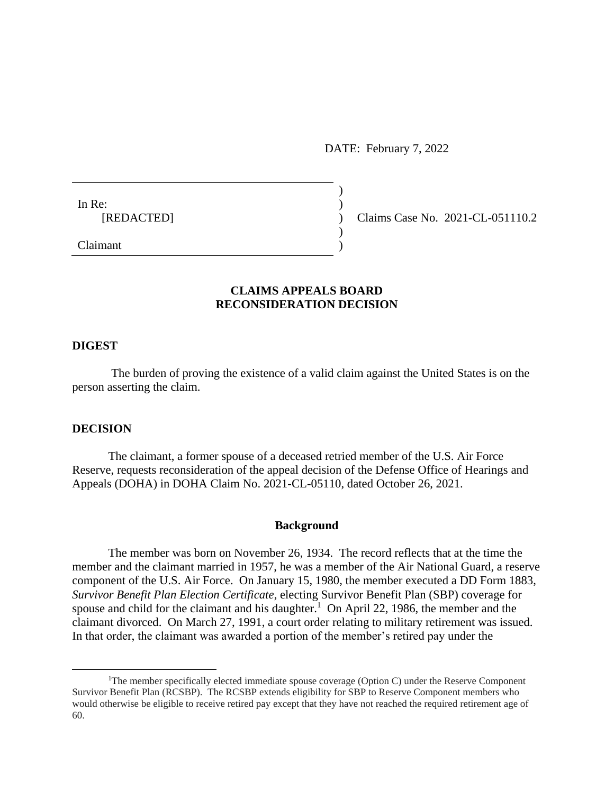DATE: February 7, 2022

)

 $\overline{)}$ 

In Re:  $\qquad \qquad$ )

[REDACTED] ) Claims Case No. 2021-CL-051110.2

Claimant )

# **CLAIMS APPEALS BOARD RECONSIDERATION DECISION**

### **DIGEST**

The burden of proving the existence of a valid claim against the United States is on the person asserting the claim.

### **DECISION**

 $\overline{a}$ 

The claimant, a former spouse of a deceased retried member of the U.S. Air Force Reserve, requests reconsideration of the appeal decision of the Defense Office of Hearings and Appeals (DOHA) in DOHA Claim No. 2021-CL-05110, dated October 26, 2021.

#### **Background**

The member was born on November 26, 1934. The record reflects that at the time the member and the claimant married in 1957, he was a member of the Air National Guard, a reserve component of the U.S. Air Force. On January 15, 1980, the member executed a DD Form 1883, *Survivor Benefit Plan Election Certificate*, electing Survivor Benefit Plan (SBP) coverage for spouse and child for the claimant and his daughter.<sup>1</sup> On April 22, 1986, the member and the claimant divorced. On March 27, 1991, a court order relating to military retirement was issued. In that order, the claimant was awarded a portion of the member's retired pay under the

<sup>&</sup>lt;sup>1</sup>The member specifically elected immediate spouse coverage (Option C) under the Reserve Component Survivor Benefit Plan (RCSBP). The RCSBP extends eligibility for SBP to Reserve Component members who would otherwise be eligible to receive retired pay except that they have not reached the required retirement age of 60.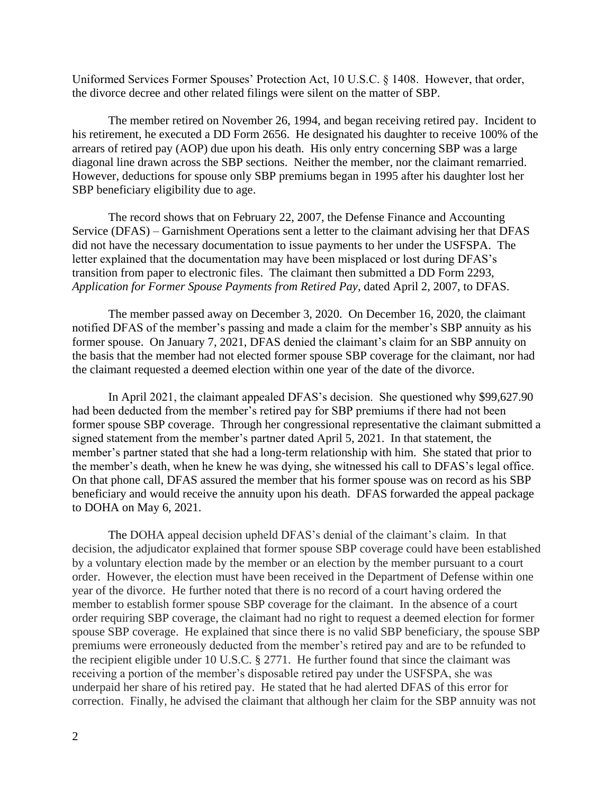Uniformed Services Former Spouses' Protection Act, 10 U.S.C. § 1408. However, that order, the divorce decree and other related filings were silent on the matter of SBP.

The member retired on November 26, 1994, and began receiving retired pay. Incident to his retirement, he executed a DD Form 2656. He designated his daughter to receive 100% of the arrears of retired pay (AOP) due upon his death. His only entry concerning SBP was a large diagonal line drawn across the SBP sections. Neither the member, nor the claimant remarried. However, deductions for spouse only SBP premiums began in 1995 after his daughter lost her SBP beneficiary eligibility due to age.

The record shows that on February 22, 2007, the Defense Finance and Accounting Service (DFAS) – Garnishment Operations sent a letter to the claimant advising her that DFAS did not have the necessary documentation to issue payments to her under the USFSPA. The letter explained that the documentation may have been misplaced or lost during DFAS's transition from paper to electronic files. The claimant then submitted a DD Form 2293, *Application for Former Spouse Payments from Retired Pay*, dated April 2, 2007, to DFAS.

The member passed away on December 3, 2020. On December 16, 2020, the claimant notified DFAS of the member's passing and made a claim for the member's SBP annuity as his former spouse. On January 7, 2021, DFAS denied the claimant's claim for an SBP annuity on the basis that the member had not elected former spouse SBP coverage for the claimant, nor had the claimant requested a deemed election within one year of the date of the divorce.

In April 2021, the claimant appealed DFAS's decision. She questioned why \$99,627.90 had been deducted from the member's retired pay for SBP premiums if there had not been former spouse SBP coverage. Through her congressional representative the claimant submitted a signed statement from the member's partner dated April 5, 2021. In that statement, the member's partner stated that she had a long-term relationship with him. She stated that prior to the member's death, when he knew he was dying, she witnessed his call to DFAS's legal office. On that phone call, DFAS assured the member that his former spouse was on record as his SBP beneficiary and would receive the annuity upon his death. DFAS forwarded the appeal package to DOHA on May 6, 2021.

The DOHA appeal decision upheld DFAS's denial of the claimant's claim. In that decision, the adjudicator explained that former spouse SBP coverage could have been established by a voluntary election made by the member or an election by the member pursuant to a court order. However, the election must have been received in the Department of Defense within one year of the divorce. He further noted that there is no record of a court having ordered the member to establish former spouse SBP coverage for the claimant. In the absence of a court order requiring SBP coverage, the claimant had no right to request a deemed election for former spouse SBP coverage. He explained that since there is no valid SBP beneficiary, the spouse SBP premiums were erroneously deducted from the member's retired pay and are to be refunded to the recipient eligible under 10 U.S.C. § 2771. He further found that since the claimant was receiving a portion of the member's disposable retired pay under the USFSPA, she was underpaid her share of his retired pay. He stated that he had alerted DFAS of this error for correction. Finally, he advised the claimant that although her claim for the SBP annuity was not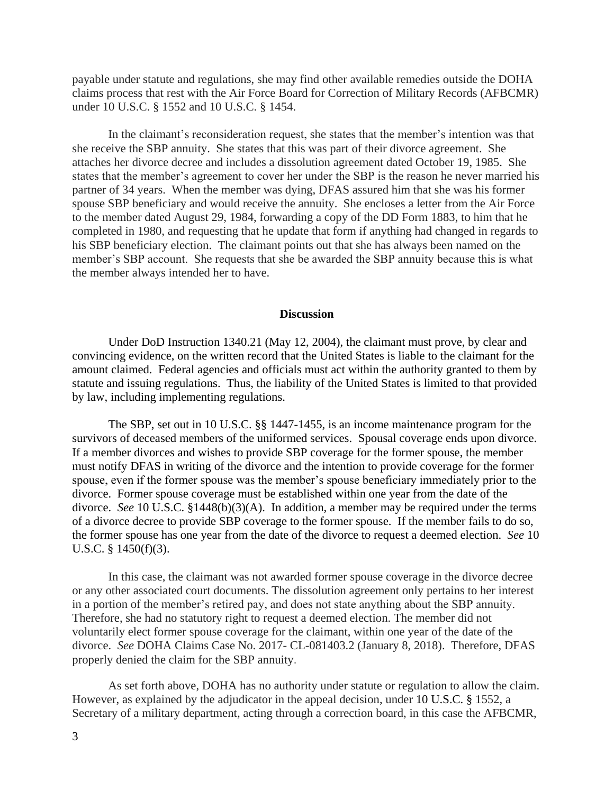payable under statute and regulations, she may find other available remedies outside the DOHA claims process that rest with the Air Force Board for Correction of Military Records (AFBCMR) under 10 U.S.C. § 1552 and 10 U.S.C. § 1454.

In the claimant's reconsideration request, she states that the member's intention was that she receive the SBP annuity. She states that this was part of their divorce agreement. She attaches her divorce decree and includes a dissolution agreement dated October 19, 1985. She states that the member's agreement to cover her under the SBP is the reason he never married his partner of 34 years. When the member was dying, DFAS assured him that she was his former spouse SBP beneficiary and would receive the annuity. She encloses a letter from the Air Force to the member dated August 29, 1984, forwarding a copy of the DD Form 1883, to him that he completed in 1980, and requesting that he update that form if anything had changed in regards to his SBP beneficiary election. The claimant points out that she has always been named on the member's SBP account. She requests that she be awarded the SBP annuity because this is what the member always intended her to have.

#### **Discussion**

Under DoD Instruction 1340.21 (May 12, 2004), the claimant must prove, by clear and convincing evidence, on the written record that the United States is liable to the claimant for the amount claimed. Federal agencies and officials must act within the authority granted to them by statute and issuing regulations. Thus, the liability of the United States is limited to that provided by law, including implementing regulations.

The SBP, set out in 10 U.S.C. §§ 1447-1455, is an income maintenance program for the survivors of deceased members of the uniformed services. Spousal coverage ends upon divorce. If a member divorces and wishes to provide SBP coverage for the former spouse, the member must notify DFAS in writing of the divorce and the intention to provide coverage for the former spouse, even if the former spouse was the member's spouse beneficiary immediately prior to the divorce. Former spouse coverage must be established within one year from the date of the divorce. *See* 10 U.S.C. §1448(b)(3)(A). In addition, a member may be required under the terms of a divorce decree to provide SBP coverage to the former spouse. If the member fails to do so, the former spouse has one year from the date of the divorce to request a deemed election. *See* 10 U.S.C. § 1450(f)(3).

In this case, the claimant was not awarded former spouse coverage in the divorce decree or any other associated court documents. The dissolution agreement only pertains to her interest in a portion of the member's retired pay, and does not state anything about the SBP annuity. Therefore, she had no statutory right to request a deemed election. The member did not voluntarily elect former spouse coverage for the claimant, within one year of the date of the divorce. *See* DOHA Claims Case No. 2017- CL-081403.2 (January 8, 2018). Therefore, DFAS properly denied the claim for the SBP annuity.

As set forth above, DOHA has no authority under statute or regulation to allow the claim. However, as explained by the adjudicator in the appeal decision, under [10 U.S.C. § 1552,](https://1.next.westlaw.com/Link/Document/FullText?findType=L&pubNum=1000546&cite=10USCAS1552&originatingDoc=I67a7090ebf8411ebbea4f0dc9fb69570&refType=LQ&originationContext=document&transitionType=DocumentItem&ppcid=f1c24d24be0c4b10a9aaa2641e21f635&contextData=(sc.Search)) a Secretary of a military department, acting through a correction board, in this case the AFBCMR,